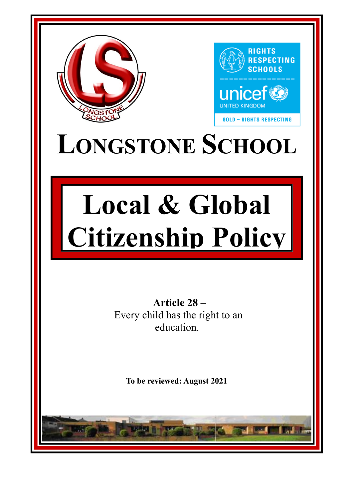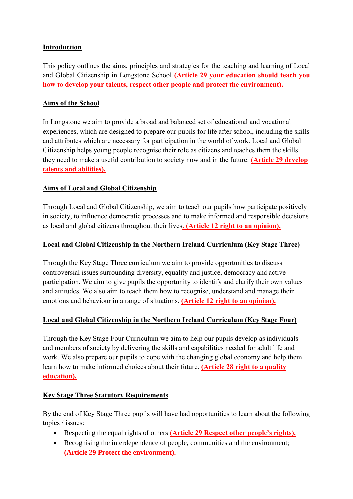### **Introduction**

This policy outlines the aims, principles and strategies for the teaching and learning of Local and Global Citizenship in Longstone School **(Article 29 your education should teach you how to develop your talents, respect other people and protect the environment).** 

### **Aims of the School**

In Longstone we aim to provide a broad and balanced set of educational and vocational experiences, which are designed to prepare our pupils for life after school, including the skills and attributes which are necessary for participation in the world of work. Local and Global Citizenship helps young people recognise their role as citizens and teaches them the skills they need to make a useful contribution to society now and in the future. **(Article 29 develop talents and abilities).** 

#### **Aims of Local and Global Citizenship**

Through Local and Global Citizenship, we aim to teach our pupils how participate positively in society, to influence democratic processes and to make informed and responsible decisions as local and global citizens throughout their lives**. (Article 12 right to an opinion).**

#### **Local and Global Citizenship in the Northern Ireland Curriculum (Key Stage Three)**

Through the Key Stage Three curriculum we aim to provide opportunities to discuss controversial issues surrounding diversity, equality and justice, democracy and active participation. We aim to give pupils the opportunity to identify and clarify their own values and attitudes. We also aim to teach them how to recognise, understand and manage their emotions and behaviour in a range of situations. **(Article 12 right to an opinion).**

## **Local and Global Citizenship in the Northern Ireland Curriculum (Key Stage Four)**

Through the Key Stage Four Curriculum we aim to help our pupils develop as individuals and members of society by delivering the skills and capabilities needed for adult life and work. We also prepare our pupils to cope with the changing global economy and help them learn how to make informed choices about their future. **(Article 28 right to a quality education).** 

#### **Key Stage Three Statutory Requirements**

By the end of Key Stage Three pupils will have had opportunities to learn about the following topics / issues:

- Respecting the equal rights of others **(Article 29 Respect other people's rights).**
- Recognising the interdependence of people, communities and the environment; **(Article 29 Protect the environment).**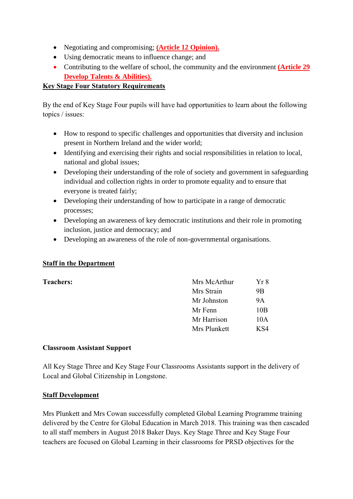- Negotiating and compromising; **(Article 12 Opinion).**
- Using democratic means to influence change; and
- Contributing to the welfare of school, the community and the environment **(Article 29 Develop Talents & Abilities).**

## **Key Stage Four Statutory Requirements**

By the end of Key Stage Four pupils will have had opportunities to learn about the following topics / issues:

- How to respond to specific challenges and opportunities that diversity and inclusion present in Northern Ireland and the wider world;
- Identifying and exercising their rights and social responsibilities in relation to local, national and global issues;
- Developing their understanding of the role of society and government in safeguarding individual and collection rights in order to promote equality and to ensure that everyone is treated fairly;
- Developing their understanding of how to participate in a range of democratic processes;
- Developing an awareness of key democratic institutions and their role in promoting inclusion, justice and democracy; and
- Developing an awareness of the role of non-governmental organisations.

## **Staff in the Department**

#### **Teachers:**

|  | Mrs McArthur | Yr 8      |
|--|--------------|-----------|
|  | Mrs Strain   | 9B        |
|  | Mr Johnston  | <b>9A</b> |
|  | Mr Fenn      | 10B       |
|  | Mr Harrison  | 10A       |
|  | Mrs Plunkett | K S4      |

#### **Classroom Assistant Support**

All Key Stage Three and Key Stage Four Classrooms Assistants support in the delivery of Local and Global Citizenship in Longstone.

#### **Staff Development**

Mrs Plunkett and Mrs Cowan successfully completed Global Learning Programme training delivered by the Centre for Global Education in March 2018. This training was then cascaded to all staff members in August 2018 Baker Days. Key Stage Three and Key Stage Four teachers are focused on Global Learning in their classrooms for PRSD objectives for the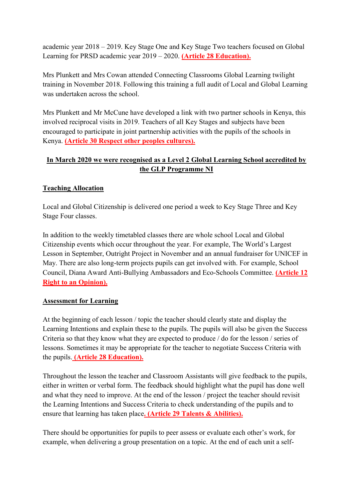academic year 2018 – 2019. Key Stage One and Key Stage Two teachers focused on Global Learning for PRSD academic year 2019 – 2020. **(Article 28 Education).** 

Mrs Plunkett and Mrs Cowan attended Connecting Classrooms Global Learning twilight training in November 2018. Following this training a full audit of Local and Global Learning was undertaken across the school.

Mrs Plunkett and Mr McCune have developed a link with two partner schools in Kenya, this involved reciprocal visits in 2019. Teachers of all Key Stages and subjects have been encouraged to participate in joint partnership activities with the pupils of the schools in Kenya. **(Article 30 Respect other peoples cultures).** 

# **In March 2020 we were recognised as a Level 2 Global Learning School accredited by the GLP Programme NI**

## **Teaching Allocation**

Local and Global Citizenship is delivered one period a week to Key Stage Three and Key Stage Four classes.

In addition to the weekly timetabled classes there are whole school Local and Global Citizenship events which occur throughout the year. For example, The World's Largest Lesson in September, Outright Project in November and an annual fundraiser for UNICEF in May. There are also long-term projects pupils can get involved with. For example, School Council, Diana Award Anti-Bullying Ambassadors and Eco-Schools Committee. **(Article 12 Right to an Opinion).** 

## **Assessment for Learning**

At the beginning of each lesson / topic the teacher should clearly state and display the Learning Intentions and explain these to the pupils. The pupils will also be given the Success Criteria so that they know what they are expected to produce / do for the lesson / series of lessons. Sometimes it may be appropriate for the teacher to negotiate Success Criteria with the pupils. **(Article 28 Education).** 

Throughout the lesson the teacher and Classroom Assistants will give feedback to the pupils, either in written or verbal form. The feedback should highlight what the pupil has done well and what they need to improve. At the end of the lesson / project the teacher should revisit the Learning Intentions and Success Criteria to check understanding of the pupils and to ensure that learning has taken place**. (Article 29 Talents & Abilities).**

There should be opportunities for pupils to peer assess or evaluate each other's work, for example, when delivering a group presentation on a topic. At the end of each unit a self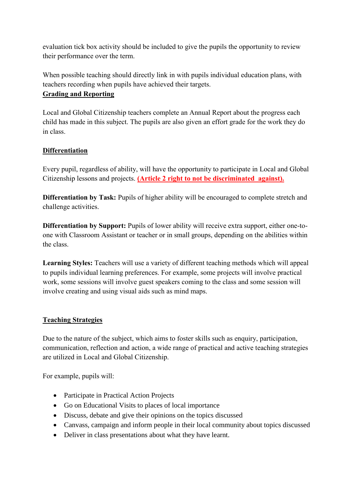evaluation tick box activity should be included to give the pupils the opportunity to review their performance over the term.

When possible teaching should directly link in with pupils individual education plans, with teachers recording when pupils have achieved their targets.

#### **Grading and Reporting**

Local and Global Citizenship teachers complete an Annual Report about the progress each child has made in this subject. The pupils are also given an effort grade for the work they do in class.

## **Differentiation**

Every pupil, regardless of ability, will have the opportunity to participate in Local and Global Citizenship lessons and projects. **(Article 2 right to not be discriminated against).**

**Differentiation by Task:** Pupils of higher ability will be encouraged to complete stretch and challenge activities.

**Differentiation by Support:** Pupils of lower ability will receive extra support, either one-toone with Classroom Assistant or teacher or in small groups, depending on the abilities within the class.

**Learning Styles:** Teachers will use a variety of different teaching methods which will appeal to pupils individual learning preferences. For example, some projects will involve practical work, some sessions will involve guest speakers coming to the class and some session will involve creating and using visual aids such as mind maps.

## **Teaching Strategies**

Due to the nature of the subject, which aims to foster skills such as enquiry, participation, communication, reflection and action, a wide range of practical and active teaching strategies are utilized in Local and Global Citizenship.

For example, pupils will:

- Participate in Practical Action Projects
- Go on Educational Visits to places of local importance
- Discuss, debate and give their opinions on the topics discussed
- Canvass, campaign and inform people in their local community about topics discussed
- Deliver in class presentations about what they have learnt.